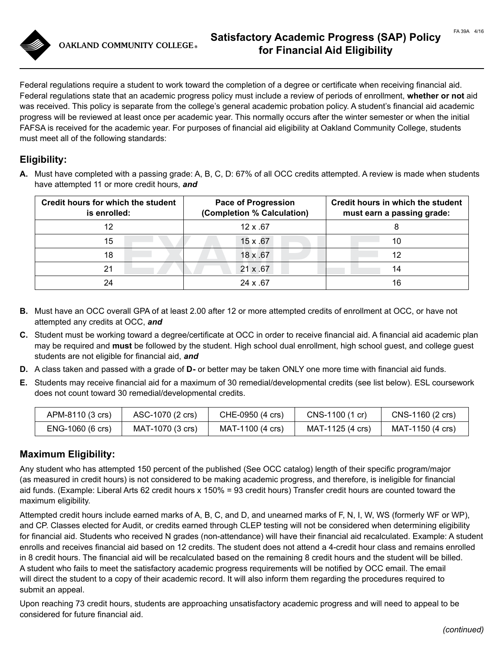**OAKLAND COMMUNITY COLLEGE®** 

Federal regulations require a student to work toward the completion of a degree or certificate when receiving financial aid. Federal regulations state that an academic progress policy must include a review of periods of enrollment, **whether or not** aid was received. This policy is separate from the college's general academic probation policy. A student's financial aid academic progress will be reviewed at least once per academic year. This normally occurs after the winter semester or when the initial FAFSA is received for the academic year. For purposes of financial aid eligibility at Oakland Community College, students must meet all of the following standards:

# **Eligibility:**

**A.** Must have completed with a passing grade: A, B, C, D: 67% of all OCC credits attempted. A review is made when students have attempted 11 or more credit hours, *and*

| Credit hours for which the student<br>is enrolled: | <b>Pace of Progression</b><br>(Completion % Calculation) | Credit hours in which the student<br>must earn a passing grade: |  |
|----------------------------------------------------|----------------------------------------------------------|-----------------------------------------------------------------|--|
| 12                                                 | $12 \times .67$                                          |                                                                 |  |
| 15                                                 | 15 x .67                                                 | 10                                                              |  |
| 18                                                 | 18 x .67                                                 | 12                                                              |  |
| 21                                                 | $21 \times .67$                                          | 14                                                              |  |
| 24                                                 | $24 \times .67$                                          | 16                                                              |  |

- **B.** Must have an OCC overall GPA of at least 2.00 after 12 or more attempted credits of enrollment at OCC, or have not attempted any credits at OCC, *and*
- **C.** Student must be working toward a degree/certificate at OCC in order to receive financial aid. A financial aid academic plan may be required and **must** be followed by the student. High school dual enrollment, high school guest, and college guest students are not eligible for financial aid, *and*
- **D.** A class taken and passed with a grade of **D-** or better may be taken ONLY one more time with financial aid funds.
- **E.** Students may receive financial aid for a maximum of 30 remedial/developmental credits (see list below). ESL coursework does not count toward 30 remedial/developmental credits.

| APM-8110 (3 crs) | ASC-1070 (2 crs) | CHE-0950 (4 crs) | CNS-1100 (1 cr)  | CNS-1160 (2 crs) |
|------------------|------------------|------------------|------------------|------------------|
| ENG-1060 (6 crs) | MAT-1070 (3 crs) | MAT-1100 (4 crs) | MAT-1125 (4 crs) | MAT-1150 (4 crs) |

## **Maximum Eligibility:**

Any student who has attempted 150 percent of the published (See OCC catalog) length of their specific program/major (as measured in credit hours) is not considered to be making academic progress, and therefore, is ineligible for financial aid funds. (Example: Liberal Arts 62 credit hours x 150% = 93 credit hours) Transfer credit hours are counted toward the maximum eligibility.

Attempted credit hours include earned marks of A, B, C, and D, and unearned marks of F, N, I, W, WS (formerly WF or WP), and CP. Classes elected for Audit, or credits earned through CLEP testing will not be considered when determining eligibility for financial aid. Students who received N grades (non-attendance) will have their financial aid recalculated. Example: A student enrolls and receives financial aid based on 12 credits. The student does not attend a 4-credit hour class and remains enrolled in 8 credit hours. The financial aid will be recalculated based on the remaining 8 credit hours and the student will be billed. A student who fails to meet the satisfactory academic progress requirements will be notified by OCC email. The email will direct the student to a copy of their academic record. It will also inform them regarding the procedures required to submit an appeal.

Upon reaching 73 credit hours, students are approaching unsatisfactory academic progress and will need to appeal to be considered for future financial aid.